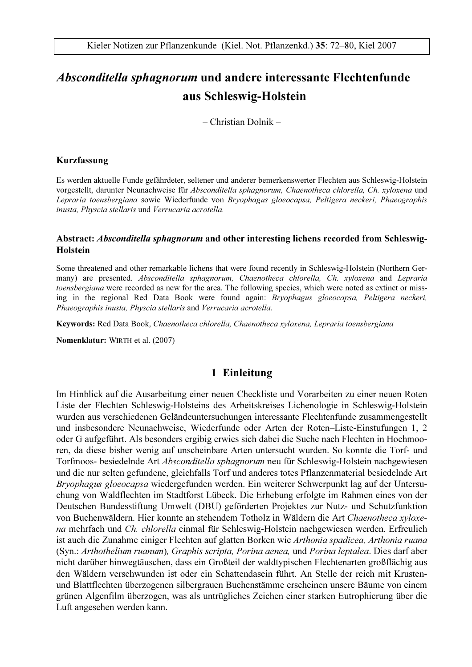# Absconditella sphagnorum und andere interessante Flechtenfunde aus Schleswig-Holstein

 $-$  Christian Dolnik  $-$ 

#### Kurzfassung

Es werden aktuelle Funde gefährdeter, seltener und anderer bemerkenswerter Flechten aus Schleswig-Holstein vorgestellt, darunter Neunachweise für Absconditella sphagnorum, Chaenotheca chlorella, Ch. xyloxena und Lepraria toensbergiana sowie Wiederfunde von Bryophagus gloeocapsa, Peltigera neckeri, Phaeographis inusta, Physcia stellaris und Verrucaria acrotella.

### Abstract: Absconditella sphagnorum and other interesting lichens recorded from Schleswig-**Holstein**

Some threatened and other remarkable lichens that were found recently in Schleswig-Holstein (Northern Germany) are presented. Absconditella sphagnorum, Chaenotheca chlorella, Ch. xyloxena and Lepraria toensbergiana were recorded as new for the area. The following species, which were noted as extinct or missing in the regional Red Data Book were found again: *Bryophagus gloeocapsa*, Peltigera neckeri, Phaeographis inusta, Physcia stellaris and Verrucaria acrotella.

Keywords: Red Data Book, Chaenotheca chlorella, Chaenotheca xyloxena, Lepraria toensbergiana

Nomenklatur: WIRTH et al. (2007)

## 1 Einleitung

Im Hinblick auf die Ausarbeitung einer neuen Checkliste und Vorarbeiten zu einer neuen Roten Liste der Flechten Schleswig-Holsteins des Arbeitskreises Lichenologie in Schleswig-Holstein wurden aus verschiedenen Geländeuntersuchungen interessante Flechtenfunde zusammengestellt und insbesondere Neunachweise, Wiederfunde oder Arten der Roten-Liste-Einstufungen 1, 2 oder G aufgeführt. Als besonders ergibig erwies sich dabei die Suche nach Flechten in Hochmooren, da diese bisher wenig auf unscheinbare Arten untersucht wurden. So konnte die Torf- und Torfmoos- besiedelnde Art *Absconditella sphagnorum* neu für Schleswig-Holstein nachgewiesen und die nur selten gefundene, gleichfalls Torf und anderes totes Pflanzenmaterial besiedelnde Art Bryophagus gloeocapsa wiedergefunden werden. Ein weiterer Schwerpunkt lag auf der Untersuchung von Waldflechten im Stadtforst Lübeck. Die Erhebung erfolgte im Rahmen eines von der Deutschen Bundesstiftung Umwelt (DBU) geförderten Projektes zur Nutz- und Schutzfunktion von Buchenwäldern. Hier konnte an stehendem Totholz in Wäldern die Art Chaenotheca xyloxena mehrfach und Ch. chlorella einmal für Schleswig-Holstein nachgewiesen werden. Erfreulich ist auch die Zunahme einiger Flechten auf glatten Borken wie Arthonia spadicea, Arthonia ruana (Syn.: Arthothelium ruanum), Graphis scripta, Porina aenea, und Porina leptalea. Dies darf aber nicht darüber hinwegtäuschen, dass ein Großteil der waldtypischen Flechtenarten großflächig aus den Wäldern verschwunden ist oder ein Schattendasein führt. An Stelle der reich mit Krustenund Blattflechten überzogenen silbergrauen Buchenstämme erscheinen unsere Bäume von einem grünen Algenfilm überzogen, was als untrügliches Zeichen einer starken Eutrophierung über die Luft angesehen werden kann.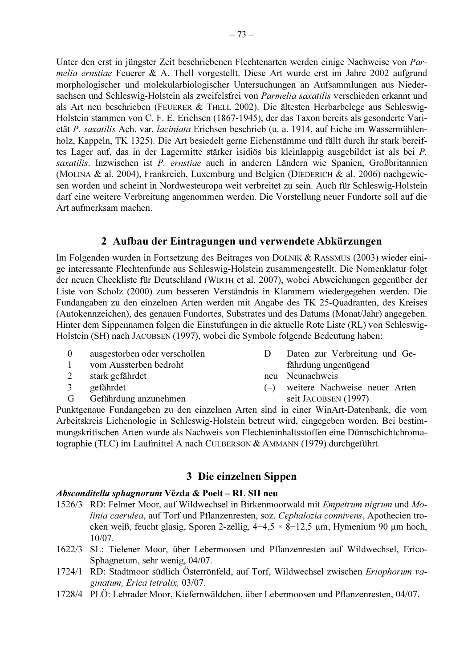Unter den erst in jüngster Zeit beschriebenen Flechtenarten werden einige Nachweise von Parmelia ernstiae Feuerer & A. Thell vorgestellt. Diese Art wurde erst im Jahre 2002 aufgrund morphologischer und molekularbiologischer Untersuchungen an Aufsammlungen aus Niedersachsen und Schleswig-Holstein als zweifelsfrei von Parmelia saxatilis verschieden erkannt und als Art neu beschrieben (FEUERER & THELL 2002). Die ältesten Herbarbelege aus Schleswig-Holstein stammen von C. F. E. Erichsen (1867-1945), der das Taxon bereits als gesonderte Varietät P. saxatilis Ach. var. laciniata Erichsen beschrieb (u. a. 1914. auf Eiche im Wassermühlenholz, Kappeln, TK 1325). Die Art besiedelt gerne Eichenstämme und fällt durch ihr stark bereiftes Lager auf, das in der Lagermitte stärker isidiös bis kleinlappig ausgebildet ist als bei P. saxatilis. Inzwischen ist P. ernstiae auch in anderen Ländern wie Spanien, Großbritannien (MOLINA & al. 2004), Frankreich, Luxemburg und Belgien (DIEDERICH & al. 2006) nachgewiesen worden und scheint in Nordwesteuropa weit verbreitet zu sein. Auch für Schleswig-Holstein darf eine weitere Verbreitung angenommen werden. Die Vorstellung neuer Fundorte soll auf die Art aufmerksam machen

## 2 Aufbau der Eintragungen und verwendete Abkürzungen

Im Folgenden wurden in Fortsetzung des Beitrages von DOLNIK & RASSMUS (2003) wieder einige interessante Flechtenfunde aus Schleswig-Holstein zusammengestellt. Die Nomenklatur folgt der neuen Checkliste für Deutschland (WIRTH et al. 2007), wobei Abweichungen gegenüber der Liste von Scholz (2000) zum besseren Verständnis in Klammern wiedergegeben werden. Die Fundangaben zu den einzelnen Arten werden mit Angabe des TK 25-Quadranten, des Kreises (Autokennzeichen), des genauen Fundortes, Substrates und des Datums (Monat/Jahr) angegeben. Hinter dem Sippennamen folgen die Einstufungen in die aktuelle Rote Liste (RL) von Schleswig-Holstein (SH) nach JACOBSEN (1997), wobei die Symbole folgende Bedeutung haben:

- $\Omega$ ausgestorben oder verschollen
- $\mathbf{1}$ vom Aussterben bedroht
- $\overline{2}$ stark gefährdet
- gefährdet  $\mathbf{3}$
- $\overline{G}$ Gefährdung anzunehmen
- $\overline{D}$ Daten zur Verbreitung und Gefährdung ungenügend
- neu Neunachweis
- weitere Nachweise neuer Arten  $(-)$ seit JACOBSEN (1997)

Punktgenaue Fundangeben zu den einzelnen Arten sind in einer WinArt-Datenbank, die vom Arbeitskreis Lichenologie in Schleswig-Holstein betreut wird, eingegeben worden. Bei bestimmungskritischen Arten wurde als Nachweis von Flechteninhaltsstoffen eine Dünnschichtchromatographie (TLC) im Laufmittel A nach CULBERSON & AMMANN (1979) durchgeführt.

## 3 Die einzelnen Sippen

## Absconditella sphagnorum Vězda & Poelt – RL SH neu

- 1526/3 RD: Felmer Moor, auf Wildwechsel in Birkenmoorwald mit Empetrum nigrum und Molinia caerulea, auf Torf und Pflanzenresten, soz. Cephalozia connivens, Apothecien trocken weiß, feucht glasig, Sporen 2-zellig,  $4-4.5 \times 8-12.5$  µm, Hymenium 90 µm hoch,  $10/07.$
- 1622/3 SL: Tielener Moor, über Lebermoosen und Pflanzenresten auf Wildwechsel, Erico-Sphagnetum, sehr wenig, 04/07.
- 1724/1 RD: Stadtmoor südlich Österrönfeld, auf Torf, Wildwechsel zwischen Eriophorum vaginatum, Erica tetralix, 03/07.
- 1728/4 PLÖ: Lebrader Moor, Kiefernwäldchen, über Lebermoosen und Pflanzenresten, 04/07.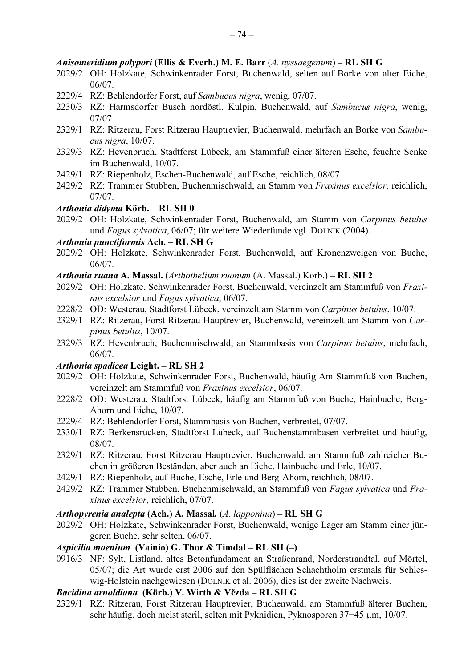#### Anisomeridium polypori (Ellis & Everh.) M. E. Barr  $(A.$  nyssaegenum) – RL SH G

- 2029/2 OH: Holzkate, Schwinkenrader Forst, Buchenwald, selten auf Borke von alter Eiche,  $06/07$
- 2229/4 RZ: Behlendorfer Forst, auf Sambucus nigra, wenig, 07/07.
- 2230/3 RZ: Harmsdorfer Busch nordöstl. Kulpin, Buchenwald, auf Sambucus nigra, wenig,  $07/07$ .
- 2329/1 RZ: Ritzerau, Forst Ritzerau Hauptrevier, Buchenwald, mehrfach an Borke von Sambucus nigra, 10/07.
- 2329/3 RZ: Hevenbruch, Stadtforst Lübeck, am Stammfuß einer älteren Esche, feuchte Senke im Buchenwald, 10/07.
- 2429/1 RZ: Riepenholz, Eschen-Buchenwald, auf Esche, reichlich, 08/07.
- 2429/2 RZ: Trammer Stubben, Buchenmischwald, an Stamm von Fraxinus excelsior, reichlich,  $07/07.$

### Arthonia didyma Körb. - RL SH 0

2029/2 OH: Holzkate, Schwinkenrader Forst, Buchenwald, am Stamm von Carpinus betulus und Fagus sylvatica, 06/07; für weitere Wiederfunde vgl. DOLNIK (2004).

### Arthonia punctiformis Ach. - RL SH G

- 2029/2 OH: Holzkate, Schwinkenrader Forst, Buchenwald, auf Kronenzweigen von Buche,  $06/07.$
- Arthonia ruana A. Massal. (Arthothelium ruanum (A. Massal.) Körb.) RL SH 2
- 2029/2 OH: Holzkate, Schwinkenrader Forst, Buchenwald, vereinzelt am Stammfuß von Fraxinus excelsior und Fagus sylvatica, 06/07.
- 2228/2 OD: Westerau, Stadtforst Lübeck, vereinzelt am Stamm von Carpinus betulus, 10/07.
- 2329/1 RZ: Ritzerau, Forst Ritzerau Hauptrevier, Buchenwald, vereinzelt am Stamm von Car*pinus betulus, 10/07.*
- 2329/3 RZ: Hevenbruch, Buchenmischwald, an Stammbasis von Carpinus betulus, mehrfach,  $06/07$

### Arthonia spadicea Leight. - RL SH 2

- 2029/2 OH: Holzkate, Schwinkenrader Forst, Buchenwald, häufig Am Stammfuß von Buchen, vereinzelt am Stammfuß von Fraxinus excelsior, 06/07.
- 2228/2 OD: Westerau, Stadtforst Lübeck, häufig am Stammfuß von Buche, Hainbuche, Berg-Ahorn und Eiche, 10/07.
- 2229/4 RZ: Behlendorfer Forst, Stammbasis von Buchen, verbreitet, 07/07.
- 2330/1 RZ: Berkensrücken, Stadtforst Lübeck, auf Buchenstammbasen verbreitet und häufig,  $08/07.$
- 2329/1 RZ: Ritzerau, Forst Ritzerau Hauptrevier, Buchenwald, am Stammfuß zahlreicher Buchen in größeren Beständen, aber auch an Eiche, Hainbuche und Erle, 10/07.
- 2429/1 RZ: Riepenholz, auf Buche, Esche, Erle und Berg-Ahorn, reichlich, 08/07.
- 2429/2 RZ: Trammer Stubben, Buchenmischwald, an Stammfuß von Fagus sylvatica und Fraxinus excelsior, reichlich, 07/07.

#### Arthopyrenia analepta (Ach.) A. Massal. (A. lapponina) - RL SH G

2029/2 OH: Holzkate, Schwinkenrader Forst, Buchenwald, wenige Lager am Stamm einer jüngeren Buche, sehr selten, 06/07.

### Aspicilia moenium (Vainio) G. Thor & Timdal – RL SH  $(-)$

0916/3 NF: Sylt, Listland, altes Betonfundament an Straßenrand, Norderstrandtal, auf Mörtel, 05/07; die Art wurde erst 2006 auf den Spülflächen Schachtholm erstmals für Schleswig-Holstein nachgewiesen (DOLNIK et al. 2006), dies ist der zweite Nachweis.

#### Bacidina arnoldiana (Körb.) V. Wirth & Vězda – RL SH G

2329/1 RZ: Ritzerau, Forst Ritzerau Hauptrevier, Buchenwald, am Stammfuß älterer Buchen, sehr häufig, doch meist steril, selten mit Pyknidien, Pyknosporen 37–45 µm, 10/07.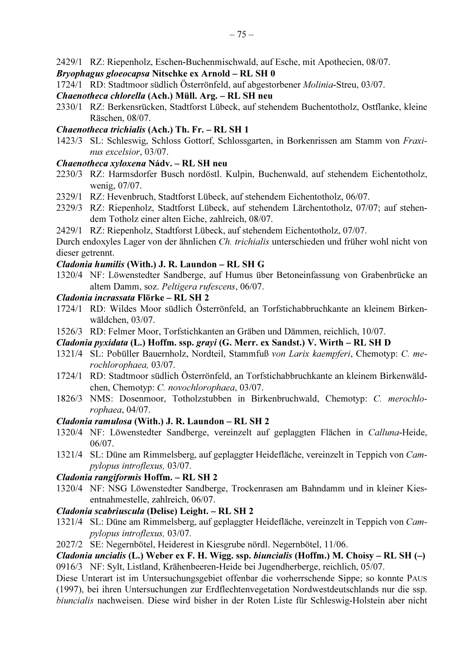2429/1 RZ: Riepenholz, Eschen-Buchenmischwald, auf Esche, mit Apothecien, 08/07.

## Bryophagus gloeocapsa Nitschke ex Arnold - RL SH 0

1724/1 RD: Stadtmoor südlich Österrönfeld, auf abgestorbener Molinia-Streu, 03/07.

## Chaenotheca chlorella (Ach.) Müll. Arg. - RL SH neu

2330/1 RZ: Berkensrücken, Stadtforst Lübeck, auf stehendem Buchentotholz, Ostflanke, kleine Räschen, 08/07.

## Chaenotheca trichialis (Ach.) Th. Fr. - RL SH 1

1423/3 SL: Schleswig, Schloss Gottorf, Schlossgarten, in Borkenrissen am Stamm von Fraxinus excelsior, 03/07.

## Chaenotheca xyloxena Nády. - RL SH neu

- 2230/3 RZ: Harmsdorfer Busch nordöstl. Kulpin, Buchenwald, auf stehendem Eichentotholz, wenig, 07/07.
- 2329/1 RZ: Hevenbruch, Stadtforst Lübeck, auf stehendem Eichentotholz, 06/07.
- 2329/3 RZ: Riepenholz, Stadtforst Lübeck, auf stehendem Lärchentotholz, 07/07; auf stehendem Totholz einer alten Eiche, zahlreich, 08/07.
- 2429/1 RZ: Riepenholz, Stadtforst Lübeck, auf stehendem Eichentotholz, 07/07.

Durch endoxyles Lager von der ähnlichen Ch. trichialis unterschieden und früher wohl nicht von dieser getrennt.

## Cladonia humilis (With.) J. R. Laundon - RL SH G

1320/4 NF: Löwenstedter Sandberge, auf Humus über Betoneinfassung von Grabenbrücke an altem Damm, soz. Peltigera rufescens, 06/07.

## Cladonia incrassata Flörke - RL SH 2

- 1724/1 RD: Wildes Moor südlich Österrönfeld, an Torfstichabbruchkante an kleinem Birkenwäldchen, 03/07.
- 1526/3 RD: Felmer Moor, Torfstichkanten an Gräben und Dämmen, reichlich, 10/07.

## Cladonia pyxidata (L.) Hoffm. ssp. grayi (G. Merr. ex Sandst.) V. Wirth - RL SH D

- 1321/4 SL: Pobüller Bauernholz, Nordteil, Stammfuß von Larix kaempferi, Chemotyp: C. merochlorophaea, 03/07.
- 1724/1 RD: Stadtmoor südlich Österrönfeld, an Torfstichabbruchkante an kleinem Birkenwäldchen, Chemotyp: C. novochlorophaea, 03/07.
- 1826/3 NMS: Dosenmoor, Totholzstubben in Birkenbruchwald, Chemotyp: C. merochlorophaea, 04/07.

## Cladonia ramulosa (With.) J. R. Laundon – RL SH 2

- 1320/4 NF: Löwenstedter Sandberge, vereinzelt auf geplaggten Flächen in Calluna-Heide,  $06/07.$
- 1321/4 SL: Düne am Rimmelsberg, auf geplaggter Heidefläche, vereinzelt in Teppich von Campylopus introflexus, 03/07.

## Cladonia rangiformis Hoffm. - RL SH 2

1320/4 NF: NSG Löwenstedter Sandberge, Trockenrasen am Bahndamm und in kleiner Kiesentnahmestelle, zahlreich, 06/07.

## Cladonia scabriuscula (Delise) Leight. - RL SH 2

1321/4 SL: Düne am Rimmelsberg, auf geplaggter Heidefläche, vereinzelt in Teppich von Cam*pylopus introflexus*, 03/07.

2027/2 SE: Negernbötel, Heiderest in Kiesgrube nördl. Negernbötel, 11/06.

*Cladonia uncialis* (L.) Weber ex F. H. Wigg. ssp. *biuncialis* (Hoffm.) M. Choisy – RL SH  $(-)$ 0916/3 NF: Sylt, Listland, Krähenbeeren-Heide bei Jugendherberge, reichlich, 05/07.

Diese Unterart ist im Untersuchungsgebiet offenbar die vorherrschende Sippe; so konnte PAUS (1997), bei ihren Untersuchungen zur Erdflechtenvegetation Nordwestdeutschlands nur die ssp. biuncialis nachweisen. Diese wird bisher in der Roten Liste für Schleswig-Holstein aber nicht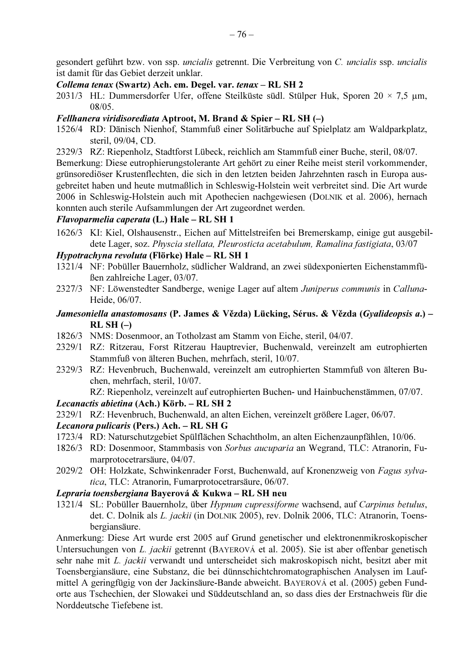gesondert geführt bzw. von ssp. uncialis getrennt. Die Verbreitung von C. uncialis ssp. uncialis ist damit für das Gebiet derzeit unklar.

### Collema tenax (Swartz) Ach. em. Degel. var. tenax – RL SH 2

2031/3 HL: Dummersdorfer Ufer, offene Steilküste südl. Stülper Huk, Sporen  $20 \times 7.5$  µm,  $08/05$ .

### *Fellhanera viridisorediata* Aptroot, M. Brand & Spier – RL SH  $(-)$

- 1526/4 RD: Dänisch Nienhof, Stammfuß einer Solitärbuche auf Spielplatz am Waldparkplatz, steril, 09/04, CD.
- 2329/3 RZ: Riepenholz, Stadtforst Lübeck, reichlich am Stammfuß einer Buche, steril, 08/07.

Bemerkung: Diese eutrophierungstolerante Art gehört zu einer Reihe meist steril vorkommender, grünsorediöser Krustenflechten, die sich in den letzten beiden Jahrzehnten rasch in Europa ausgebreitet haben und heute mutmaßlich in Schleswig-Holstein weit verbreitet sind. Die Art wurde 2006 in Schleswig-Holstein auch mit Apothecien nachgewiesen (DOLNIK et al. 2006), hernach konnten auch sterile Aufsammlungen der Art zugeordnet werden.

#### Flavoparmelia caperata (L.) Hale - RL SH 1

1626/3 KI: Kiel, Olshausenstr., Eichen auf Mittelstreifen bei Bremerskamp, einige gut ausgebildete Lager, soz. Physcia stellata, Pleurosticta acetabulum, Ramalina fastigiata, 03/07

## Hypotrachyna revoluta (Flörke) Hale - RL SH 1

- 1321/4 NF: Pobüller Bauernholz, südlicher Waldrand, an zwei südexponierten Eichenstammfüßen zahlreiche Lager, 03/07.
- 2327/3 NF: Löwenstedter Sandberge, wenige Lager auf altem Juniperus communis in Calluna-Heide, 06/07.
- Jamesoniella anastomosans (P. James & Vězda) Lücking, Sérus. & Vězda (Gyalideopsis a.)  $RLSH(-)$
- 1826/3 NMS: Dosenmoor, an Totholzast am Stamm von Eiche, steril, 04/07.
- 2329/1 RZ: Ritzerau, Forst Ritzerau Hauptrevier, Buchenwald, vereinzelt am eutrophierten Stammfuß von älteren Buchen, mehrfach, steril, 10/07.
- 2329/3 RZ: Hevenbruch, Buchenwald, vereinzelt am eutrophierten Stammfuß von älteren Buchen, mehrfach, steril, 10/07.

RZ: Riepenholz, vereinzelt auf eutrophierten Buchen- und Hainbuchenstämmen, 07/07.

### Lecanactis abietina (Ach.) Körb. - RL SH 2

2329/1 RZ: Hevenbruch, Buchenwald, an alten Eichen, vereinzelt größere Lager, 06/07.

#### Lecanora pulicaris (Pers.) Ach. - RL SH G

- 1723/4 RD: Naturschutzgebiet Spülflächen Schachtholm, an alten Eichenzaunpfählen, 10/06.
- 1826/3 RD: Dosenmoor, Stammbasis von Sorbus aucuparia an Wegrand, TLC: Atranorin, Fumarprotocetrarsäure, 04/07.
- 2029/2 OH: Holzkate, Schwinkenrader Forst, Buchenwald, auf Kronenzweig von Fagus sylvatica, TLC: Atranorin, Fumarprotocetrarsäure, 06/07.

### Lepraria toensbergiana Bayerová & Kukwa – RL SH neu

1321/4 SL: Pobüller Bauernholz, über Hypnum cupressiforme wachsend, auf Carpinus betulus, det. C. Dolnik als L. jackii (in DOLNIK 2005), rev. Dolnik 2006, TLC: Atranorin, Toensbergiansäure.

Anmerkung: Diese Art wurde erst 2005 auf Grund genetischer und elektronenmikroskopischer Untersuchungen von L. jackii getrennt (BAYEROVÁ et al. 2005). Sie ist aber offenbar genetisch sehr nahe mit L. jackii verwandt und unterscheidet sich makroskopisch nicht, besitzt aber mit Toensbergiansäure, eine Substanz, die bei dünnschichtchromatographischen Analysen im Laufmittel A geringfügig von der Jackinsäure-Bande abweicht. BAYEROVÁ et al. (2005) geben Fundorte aus Tschechien, der Slowakei und Süddeutschland an, so dass dies der Erstnachweis für die Norddeutsche Tiefebene ist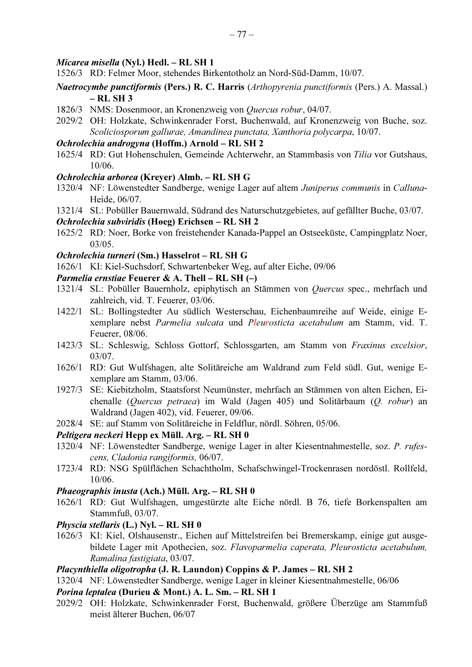#### *Micarea misella* (Nyl.) Hedl. - RL SH 1

- 1526/3 RD: Felmer Moor, stehendes Birkentotholz an Nord-Süd-Damm, 10/07.
- *Naetrocymbe punctiformis* (Pers.) R. C. Harris (Arthopyrenia punctiformis (Pers.) A. Massal.)  $-RLSH3$
- 1826/3 NMS: Dosenmoor, an Kronenzweig von Quercus robur, 04/07.
- 2029/2 OH: Holzkate, Schwinkenrader Forst, Buchenwald, auf Kronenzweig von Buche, soz. Scoliciosporum gallurae, Amandinea punctata, Xanthoria polycarpa, 10/07.

## Ochrolechia androgyna (Hoffm.) Arnold - RL SH 2

1625/4 RD: Gut Hohenschulen, Gemeinde Achterwehr, an Stammbasis von Tilia vor Gutshaus, 10/06.

### Ochrolechia arborea (Kreyer) Almb. - RL SH G

- 1320/4 NF: Löwenstedter Sandberge, wenige Lager auf altem Juniperus communis in Calluna-Heide, 06/07.
- 1321/4 SL: Pobüller Bauernwald, Südrand des Naturschutzgebietes, auf gefällter Buche, 03/07.

#### Ochrolechia subviridis (Høeg) Erichsen – RL SH 2

1625/2 RD: Noer, Borke von freistehender Kanada-Pappel an Ostseeküste, Campingplatz Noer,  $03/05.$ 

#### Ochrolechia turneri (Sm.) Hasselrot - RL SH G

1626/1 KI: Kiel-Suchsdorf, Schwartenbeker Weg, auf alter Eiche, 09/06

### *Parmelia ernstiae* Feuerer & A. Thell – RL SH (–)

- 1321/4 SL: Pobüller Bauernholz, epiphytisch an Stämmen von Quercus spec., mehrfach und zahlreich, vid. T. Feuerer, 03/06.
- 1422/1 SL: Bollingstedter Au südlich Westerschau, Eichenbaumreihe auf Weide, einige Exemplare nebst Parmelia sulcata und Pleurosticta acetabulum am Stamm, vid. T. Feuerer, 08/06.
- 1423/3 SL: Schleswig, Schloss Gottorf, Schlossgarten, am Stamm von Fraxinus excelsior,  $03/07.$
- 1626/1 RD: Gut Wulfshagen, alte Solitäreiche am Waldrand zum Feld südl. Gut, wenige Exemplare am Stamm, 03/06.
- 1927/3 SE: Kiebitzholm, Staatsforst Neumünster, mehrfach an Stämmen von alten Eichen, Eichenalle (Quercus petraea) im Wald (Jagen 405) und Solitärbaum (Q. robur) an Waldrand (Jagen 402), vid. Feuerer, 09/06.
- 2028/4 SE: auf Stamm von Solitäreiche in Feldflur, nördl. Söhren, 05/06.

#### Peltigera neckeri Hepp ex Müll. Arg. – RL SH 0

- 1320/4 NF: Löwenstedter Sandberge, wenige Lager in alter Kiesentnahmestelle, soz. P. rufescens, Cladonia rangiformis, 06/07.
- 1723/4 RD: NSG Spülflächen Schachtholm, Schafschwingel-Trockenrasen nordöstl. Rollfeld,  $10/06.$

#### *Phaeographis inusta* (Ach.) Müll. Arg. - RL SH 0

1626/1 RD: Gut Wulfshagen, umgestürzte alte Eiche nördl. B 76, tiefe Borkenspalten am Stammfuß, 03/07.

## Physcia stellaris (L.) Nyl. - RL SH  $0$

1626/3 KI: Kiel, Olshausenstr., Eichen auf Mittelstreifen bei Bremerskamp, einige gut ausgebildete Lager mit Apothecien, soz. Flavoparmelia caperata, Pleurosticta acetabulum, Ramalina fastigiata, 03/07.

## Placynthiella oligotropha (J. R. Laundon) Coppins & P. James – RL SH 2

1320/4 NF: Löwenstedter Sandberge, wenige Lager in kleiner Kiesentnahmestelle, 06/06

### Porina leptalea (Durieu & Mont.) A. L. Sm. - RL SH 1

2029/2 OH: Holzkate, Schwinkenrader Forst, Buchenwald, größere Überzüge am Stammfuß meist älterer Buchen, 06/07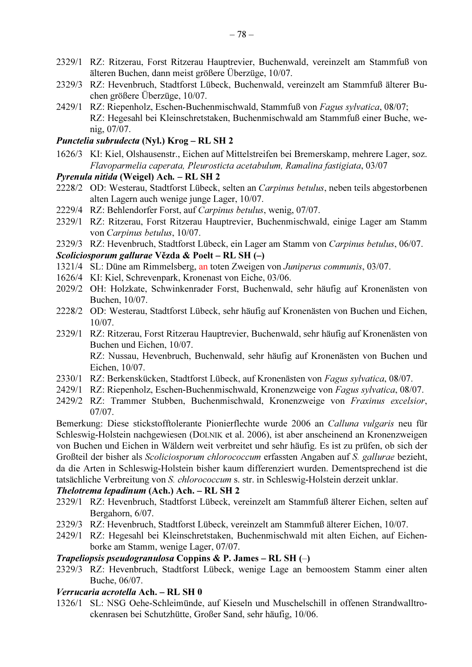- 2329/1 RZ: Ritzerau, Forst Ritzerau Hauptrevier, Buchenwald, vereinzelt am Stammfuß von älteren Buchen, dann meist größere Überzüge, 10/07.
- 2329/3 RZ: Hevenbruch, Stadtforst Lübeck, Buchenwald, vereinzelt am Stammfuß älterer Buchen größere Überzüge, 10/07.
- 2429/1 RZ: Riepenholz, Eschen-Buchenmischwald, Stammfuß von Fagus sylvatica, 08/07; RZ: Hegesahl bei Kleinschretstaken, Buchenmischwald am Stammfuß einer Buche, wenig, 07/07.

### Punctelia subrudecta (Nyl.) Krog - RL SH 2

1626/3 KI: Kiel, Olshausenstr., Eichen auf Mittelstreifen bei Bremerskamp, mehrere Lager, soz. Flavoparmelia caperata, Pleurosticta acetabulum, Ramalina fastigiata, 03/07

### Pyrenula nitida (Weigel) Ach. - RL SH 2

- 2228/2 OD: Westerau, Stadtforst Lübeck, selten an Carpinus betulus, neben teils abgestorbenen alten Lagern auch wenige junge Lager, 10/07.
- 2229/4 RZ: Behlendorfer Forst, auf Carpinus betulus, wenig, 07/07.
- 2329/1 RZ: Ritzerau, Forst Ritzerau Hauptrevier, Buchenmischwald, einige Lager am Stamm von Carpinus betulus, 10/07.
- 2329/3 RZ: Hevenbruch, Stadtforst Lübeck, ein Lager am Stamm von Carpinus betulus, 06/07.

### Scoliciosporum gallurae Vězda & Poelt – RL SH (–)

- 1321/4 SL: Düne am Rimmelsberg, an toten Zweigen von Juniperus communis, 03/07.
- 1626/4 KI: Kiel, Schrevenpark, Kronenast von Eiche, 03/06.
- 2029/2 OH: Holzkate, Schwinkenrader Forst, Buchenwald, sehr häufig auf Kronenästen von Buchen, 10/07.
- 2228/2 OD: Westerau, Stadtforst Lübeck, sehr häufig auf Kronenästen von Buchen und Eichen,  $10/07.$
- 2329/1 RZ: Ritzerau, Forst Ritzerau Hauptrevier, Buchenwald, sehr häufig auf Kronenästen von Buchen und Eichen, 10/07. RZ: Nussau, Hevenbruch, Buchenwald, sehr häufig auf Kronenästen von Buchen und Eichen, 10/07.
- 2330/1 RZ: Berkenskücken, Stadtforst Lübeck, auf Kronenästen von Fagus sylvatica, 08/07.
- 2429/1 RZ: Riepenholz, Eschen-Buchenmischwald, Kronenzweige von Fagus sylvatica, 08/07.
- 2429/2 RZ: Trammer Stubben, Buchenmischwald, Kronenzweige von Fraxinus excelsior,  $07/07$ .

Bemerkung: Diese stickstofftolerante Pionierflechte wurde 2006 an Calluna vulgaris neu für Schleswig-Holstein nachgewiesen (DOLNIK et al. 2006), ist aber anscheinend an Kronenzweigen von Buchen und Eichen in Wäldern weit verbreitet und sehr häufig. Es ist zu prüfen, ob sich der Großteil der bisher als Scoliciosporum chlorococcum erfassten Angaben auf S. gallurae bezieht, da die Arten in Schleswig-Holstein bisher kaum differenziert wurden. Dementsprechend ist die tatsächliche Verbreitung von S. chlorococcum s. str. in Schleswig-Holstein derzeit unklar.

### Thelotrema lepadinum (Ach.) Ach. - RL SH 2

- 2329/1 RZ: Hevenbruch, Stadtforst Lübeck, vereinzelt am Stammfuß älterer Eichen, selten auf Bergahorn, 6/07.
- 2329/3 RZ: Hevenbruch, Stadtforst Lübeck, vereinzelt am Stammfuß älterer Eichen, 10/07.
- 2429/1 RZ: Hegesahl bei Kleinschretstaken, Buchenmischwald mit alten Eichen, auf Eichenborke am Stamm, wenige Lager, 07/07.

#### *Trapeliopsis pseudogranulosa* Coppins & P. James – RL SH  $(-)$

2329/3 RZ: Hevenbruch, Stadtforst Lübeck, wenige Lage an bemoostem Stamm einer alten Buche 06/07

#### Verrucaria acrotella Ach. - RL SH 0

1326/1 SL: NSG Oehe-Schleimünde, auf Kieseln und Muschelschill in offenen Strandwalltrockenrasen bei Schutzhütte, Großer Sand, sehr häufig, 10/06.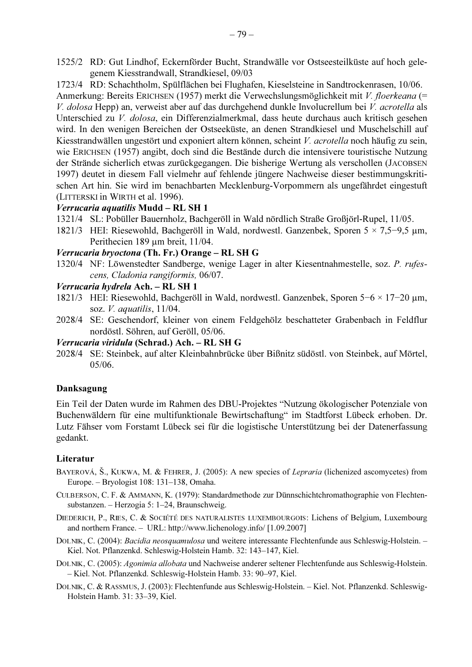1525/2 RD: Gut Lindhof, Eckernförder Bucht, Strandwälle vor Ostseesteilküste auf hoch gelegenem Kiesstrandwall, Strandkiesel, 09/03

1723/4 RD: Schachtholm, Spülflächen bei Flughafen, Kieselsteine in Sandtrockenrasen, 10/06. Anmerkung: Bereits ERICHSEN (1957) merkt die Verwechslungsmöglichkeit mit V. floerkeana (= V. dolosa Hepp) an, verweist aber auf das durchgehend dunkle Involucrellum bei V. acrotella als Unterschied zu V. dolosa, ein Differenzialmerkmal, dass heute durchaus auch kritisch gesehen wird. In den wenigen Bereichen der Ostseeküste, an denen Strandkiesel und Muschelschill auf Kiesstrandwällen ungestört und exponiert altern können, scheint V. acrotella noch häufig zu sein, wie ERICHSEN (1957) angibt, doch sind die Bestände durch die intensivere touristische Nutzung der Strände sicherlich etwas zurückgegangen. Die bisherige Wertung als verschollen (JACOBSEN 1997) deutet in diesem Fall vielmehr auf fehlende jüngere Nachweise dieser bestimmungskritischen Art hin. Sie wird im benachbarten Mecklenburg-Vorpommern als ungefährdet eingestuft (LITTERSKI in WIRTH et al. 1996).

#### Verrucaria aquatilis Mudd - RL SH 1

- 1321/4 SL: Pobüller Bauernholz, Bachgeröll in Wald nördlich Straße Großjörl-Rupel, 11/05.
- 1821/3 HEI: Riesewohld, Bachgeröll in Wald, nordwestl. Ganzenbek, Sporen  $5 \times 7.5-9.5$  µm, Perithecien 189 um breit, 11/04.

#### Verrucaria bryoctona (Th. Fr.) Orange - RL SH G

1320/4 NF: Löwenstedter Sandberge, wenige Lager in alter Kiesentnahmestelle, soz. P. rufescens, Cladonia rangiformis, 06/07.

#### Verrucaria hydrela Ach. - RL SH 1

- 1821/3 HEI: Riesewohld, Bachgeröll in Wald, nordwestl. Ganzenbek, Sporen  $5-6 \times 17-20$  µm, soz.  $V$ . *aquatilis*,  $11/04$ .
- 2028/4 SE: Geschendorf, kleiner von einem Feldgehölz beschatteter Grabenbach in Feldflur nordöstl. Söhren, auf Geröll, 05/06.

#### Verrucaria viridula (Schrad.) Ach. - RL SH G

2028/4 SE: Steinbek, auf alter Kleinbahnbrücke über Bißnitz südöstl. von Steinbek, auf Mörtel,  $05/06.$ 

#### Danksagung

Ein Teil der Daten wurde im Rahmen des DBU-Projektes "Nutzung ökologischer Potenziale von Buchenwäldern für eine multifunktionale Bewirtschaftung" im Stadtforst Lübeck erhoben. Dr. Lutz Fähser vom Forstamt Lübeck sei für die logistische Unterstützung bei der Datenerfassung gedankt.

#### Literatur

- BAYEROVÁ, Š., KUKWA, M. & FEHRER, J. (2005): A new species of Lepraria (lichenized ascomycetes) from Europe. - Bryologist 108: 131-138, Omaha.
- CULBERSON, C. F. & AMMANN, K. (1979): Standardmethode zur Dünnschichtchromathographie von Flechtensubstanzen. - Herzogia 5: 1-24, Braunschweig.
- DIEDERICH, P., RIES, C. & SOCIÉTÉ DES NATURALISTES LUXEMBOURGOIS: Lichens of Belgium, Luxembourg and northern France. - URL: http://www.lichenology.info/ [1.09.2007]
- DOLNIK, C. (2004): Bacidia neosquamulosa und weitere interessante Flechtenfunde aus Schleswig-Holstein. -Kiel. Not. Pflanzenkd. Schleswig-Holstein Hamb. 32: 143-147, Kiel.
- DOLNIK, C. (2005): Agonimia allobata und Nachweise anderer seltener Flechtenfunde aus Schleswig-Holstein. - Kiel. Not. Pflanzenkd. Schleswig-Holstein Hamb. 33: 90-97, Kiel.
- DOLNIK, C. & RASSMUS, J. (2003): Flechtenfunde aus Schleswig-Holstein. Kiel. Not. Pflanzenkd. Schleswig-Holstein Hamb. 31: 33-39, Kiel.